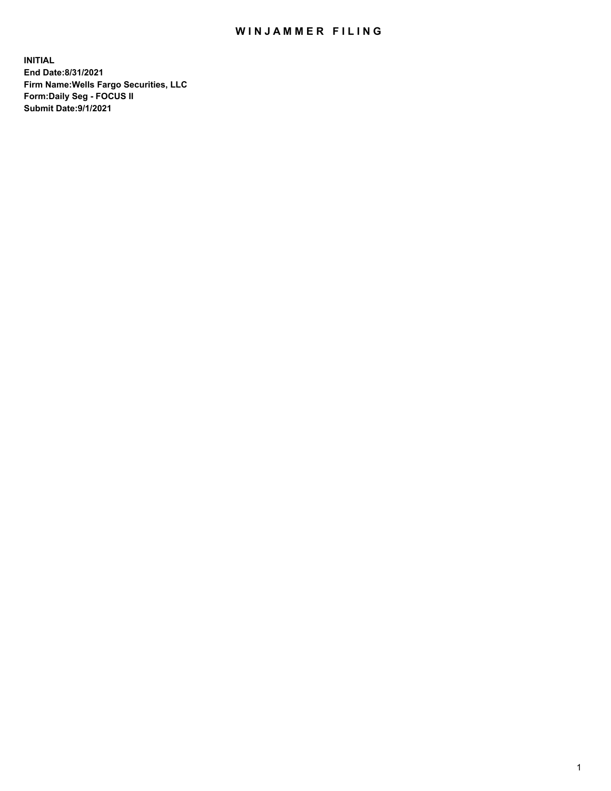## WIN JAMMER FILING

**INITIAL End Date:8/31/2021 Firm Name:Wells Fargo Securities, LLC Form:Daily Seg - FOCUS II Submit Date:9/1/2021**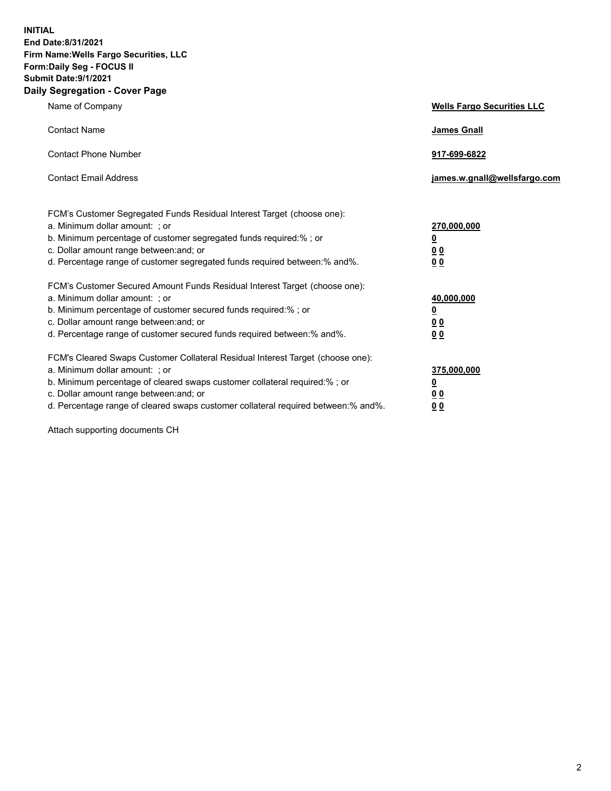**INITIAL End Date:8/31/2021 Firm Name:Wells Fargo Securities, LLC Form:Daily Seg - FOCUS II Submit Date:9/1/2021 Daily Segregation - Cover Page**

| Name of Company                                                                                                                                                                                                                                                                                                                | <b>Wells Fargo Securities LLC</b>                           |
|--------------------------------------------------------------------------------------------------------------------------------------------------------------------------------------------------------------------------------------------------------------------------------------------------------------------------------|-------------------------------------------------------------|
| <b>Contact Name</b>                                                                                                                                                                                                                                                                                                            | James Gnall                                                 |
| <b>Contact Phone Number</b>                                                                                                                                                                                                                                                                                                    | 917-699-6822                                                |
| <b>Contact Email Address</b>                                                                                                                                                                                                                                                                                                   | james.w.gnall@wellsfargo.com                                |
| FCM's Customer Segregated Funds Residual Interest Target (choose one):<br>a. Minimum dollar amount: ; or<br>b. Minimum percentage of customer segregated funds required:% ; or<br>c. Dollar amount range between: and; or<br>d. Percentage range of customer segregated funds required between: % and %.                       | 270,000,000<br><u>0</u><br>0 <sub>0</sub><br>0 <sub>0</sub> |
| FCM's Customer Secured Amount Funds Residual Interest Target (choose one):<br>a. Minimum dollar amount: ; or<br>b. Minimum percentage of customer secured funds required: % ; or<br>c. Dollar amount range between: and; or<br>d. Percentage range of customer secured funds required between:% and%.                          | 40,000,000<br><u>0</u><br>0 <sub>0</sub><br>0 <sub>0</sub>  |
| FCM's Cleared Swaps Customer Collateral Residual Interest Target (choose one):<br>a. Minimum dollar amount: ; or<br>b. Minimum percentage of cleared swaps customer collateral required:% ; or<br>c. Dollar amount range between: and; or<br>d. Percentage range of cleared swaps customer collateral required between:% and%. | 375,000,000<br><u>0</u><br>00<br>00                         |

Attach supporting documents CH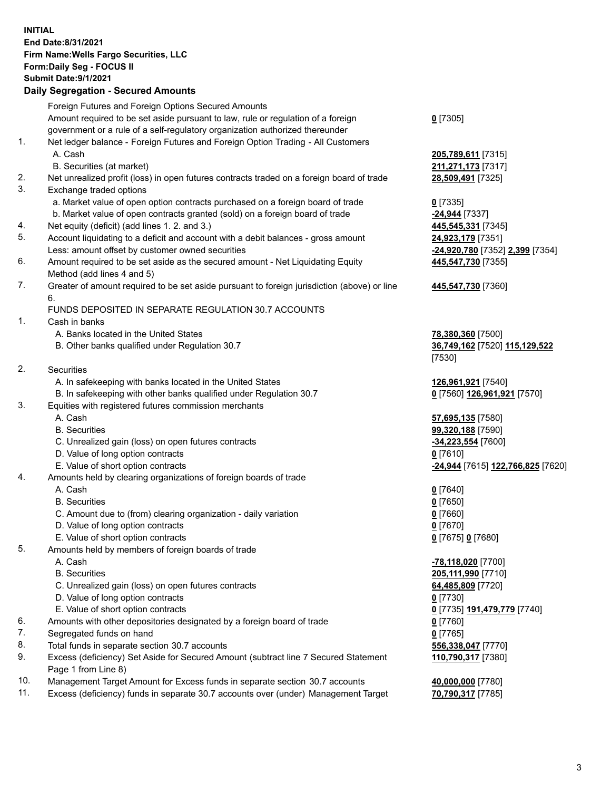**INITIAL End Date:8/31/2021 Firm Name:Wells Fargo Securities, LLC Form:Daily Seg - FOCUS II Submit Date:9/1/2021 Daily Segregation - Secured Amounts** Foreign Futures and Foreign Options Secured Amounts Amount required to be set aside pursuant to law, rule or regulation of a foreign government or a rule of a self-regulatory organization authorized thereunder 1. Net ledger balance - Foreign Futures and Foreign Option Trading - All Customers A. Cash **205,789,611** [7315] B. Securities (at market) **211,271,173** [7317] 2. Net unrealized profit (loss) in open futures contracts traded on a foreign board of trade **28,509,491** [7325] 3. Exchange traded options a. Market value of open option contracts purchased on a foreign board of trade **0** [7335]

- b. Market value of open contracts granted (sold) on a foreign board of trade **-24,944** [7337]
- 4. Net equity (deficit) (add lines 1. 2. and 3.) **445,545,331** [7345]
- 5. Account liquidating to a deficit and account with a debit balances gross amount **24,923,179** [7351] Less: amount offset by customer owned securities **-24,920,780** [7352] **2,399** [7354]
- 6. Amount required to be set aside as the secured amount Net Liquidating Equity Method (add lines 4 and 5)
- 7. Greater of amount required to be set aside pursuant to foreign jurisdiction (above) or line 6.

## FUNDS DEPOSITED IN SEPARATE REGULATION 30.7 ACCOUNTS

1. Cash in banks

- A. Banks located in the United States **78,380,360** [7500]
- B. Other banks qualified under Regulation 30.7 **36,749,162** [7520] **115,129,522**

2. Securities

- A. In safekeeping with banks located in the United States **126,961,921** [7540]
- B. In safekeeping with other banks qualified under Regulation 30.7 **0** [7560] **126,961,921** [7570]
- 3. Equities with registered futures commission merchants
	-
	-
	- C. Unrealized gain (loss) on open futures contracts **-34,223,554** [7600]
	- D. Value of long option contracts **0** [7610]
	-
- 4. Amounts held by clearing organizations of foreign boards of trade

## A. Cash **0** [7640]

- B. Securities **0** [7650]
- C. Amount due to (from) clearing organization daily variation **0** [7660]
- D. Value of long option contracts **0** [7670]
- E. Value of short option contracts **0** [7675] **0** [7680]
- 5. Amounts held by members of foreign boards of trade
	-
	-
	- C. Unrealized gain (loss) on open futures contracts **64,485,809** [7720]
	- D. Value of long option contracts **0** [7730]
	- E. Value of short option contracts **0** [7735] **191,479,779** [7740]
- 6. Amounts with other depositories designated by a foreign board of trade **0** [7760]
- 7. Segregated funds on hand **0** [7765]
- 8. Total funds in separate section 30.7 accounts **556,338,047** [7770]
- 9. Excess (deficiency) Set Aside for Secured Amount (subtract line 7 Secured Statement Page 1 from Line 8)
- 10. Management Target Amount for Excess funds in separate section 30.7 accounts **40,000,000** [7780]
- 11. Excess (deficiency) funds in separate 30.7 accounts over (under) Management Target **70,790,317** [7785]

**0** [7305]

**445,547,730** [7355]

## **445,547,730** [7360]

[7530]

 A. Cash **57,695,135** [7580] B. Securities **99,320,188** [7590] E. Value of short option contracts **-24,944** [7615] **122,766,825** [7620]

 A. Cash **-78,118,020** [7700] B. Securities **205,111,990** [7710] **110,790,317** [7380]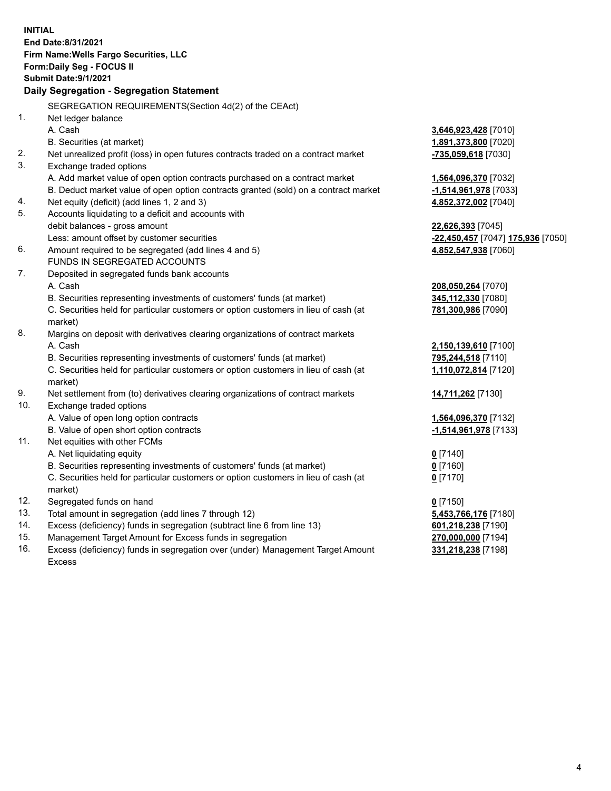**INITIAL End Date:8/31/2021 Firm Name:Wells Fargo Securities, LLC Form:Daily Seg - FOCUS II Submit Date:9/1/2021 Daily Segregation - Segregation Statement** SEGREGATION REQUIREMENTS(Section 4d(2) of the CEAct) 1. Net ledger balance A. Cash **3,646,923,428** [7010] B. Securities (at market) **1,891,373,800** [7020] 2. Net unrealized profit (loss) in open futures contracts traded on a contract market **-735,059,618** [7030] 3. Exchange traded options A. Add market value of open option contracts purchased on a contract market **1,564,096,370** [7032] B. Deduct market value of open option contracts granted (sold) on a contract market **-1,514,961,978** [7033] 4. Net equity (deficit) (add lines 1, 2 and 3) **4,852,372,002** [7040] 5. Accounts liquidating to a deficit and accounts with debit balances - gross amount **22,626,393** [7045] Less: amount offset by customer securities **-22,450,457** [7047] **175,936** [7050] 6. Amount required to be segregated (add lines 4 and 5) **4,852,547,938** [7060] FUNDS IN SEGREGATED ACCOUNTS 7. Deposited in segregated funds bank accounts A. Cash **208,050,264** [7070] B. Securities representing investments of customers' funds (at market) **345,112,330** [7080] C. Securities held for particular customers or option customers in lieu of cash (at market) **781,300,986** [7090] 8. Margins on deposit with derivatives clearing organizations of contract markets A. Cash **2,150,139,610** [7100] B. Securities representing investments of customers' funds (at market) **795,244,518** [7110] C. Securities held for particular customers or option customers in lieu of cash (at market) **1,110,072,814** [7120] 9. Net settlement from (to) derivatives clearing organizations of contract markets **14,711,262** [7130] 10. Exchange traded options A. Value of open long option contracts **1,564,096,370** [7132] B. Value of open short option contracts **-1,514,961,978** [7133] 11. Net equities with other FCMs A. Net liquidating equity **0** [7140] B. Securities representing investments of customers' funds (at market) **0** [7160] C. Securities held for particular customers or option customers in lieu of cash (at market) **0** [7170] 12. Segregated funds on hand **0** [7150] 13. Total amount in segregation (add lines 7 through 12) **5,453,766,176** [7180] 14. Excess (deficiency) funds in segregation (subtract line 6 from line 13) **601,218,238** [7190] 15. Management Target Amount for Excess funds in segregation **270,000,000** [7194] 16. Excess (deficiency) funds in segregation over (under) Management Target Amount Excess **331,218,238** [7198]